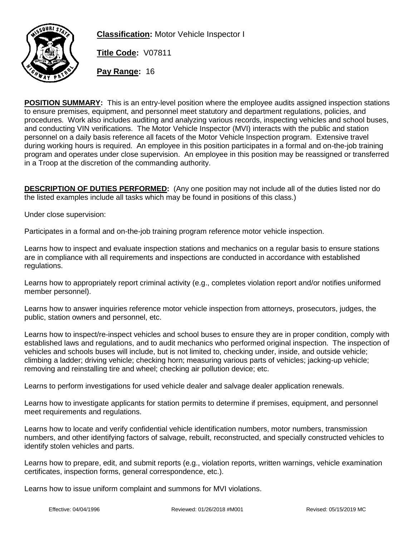

**Classification:** Motor Vehicle Inspector I

**Title Code:** V07811

**Pay Range:** 16

**POSITION SUMMARY:** This is an entry-level position where the employee audits assigned inspection stations to ensure premises, equipment, and personnel meet statutory and department regulations, policies, and procedures. Work also includes auditing and analyzing various records, inspecting vehicles and school buses, and conducting VIN verifications. The Motor Vehicle Inspector (MVI) interacts with the public and station personnel on a daily basis reference all facets of the Motor Vehicle Inspection program. Extensive travel during working hours is required. An employee in this position participates in a formal and on-the-job training program and operates under close supervision. An employee in this position may be reassigned or transferred in a Troop at the discretion of the commanding authority.

**DESCRIPTION OF DUTIES PERFORMED:** (Any one position may not include all of the duties listed nor do the listed examples include all tasks which may be found in positions of this class.)

Under close supervision:

Participates in a formal and on-the-job training program reference motor vehicle inspection.

Learns how to inspect and evaluate inspection stations and mechanics on a regular basis to ensure stations are in compliance with all requirements and inspections are conducted in accordance with established regulations.

Learns how to appropriately report criminal activity (e.g., completes violation report and/or notifies uniformed member personnel).

Learns how to answer inquiries reference motor vehicle inspection from attorneys, prosecutors, judges, the public, station owners and personnel, etc.

Learns how to inspect/re-inspect vehicles and school buses to ensure they are in proper condition, comply with established laws and regulations, and to audit mechanics who performed original inspection. The inspection of vehicles and schools buses will include, but is not limited to, checking under, inside, and outside vehicle; climbing a ladder; driving vehicle; checking horn; measuring various parts of vehicles; jacking-up vehicle; removing and reinstalling tire and wheel; checking air pollution device; etc.

Learns to perform investigations for used vehicle dealer and salvage dealer application renewals.

Learns how to investigate applicants for station permits to determine if premises, equipment, and personnel meet requirements and regulations.

Learns how to locate and verify confidential vehicle identification numbers, motor numbers, transmission numbers, and other identifying factors of salvage, rebuilt, reconstructed, and specially constructed vehicles to identify stolen vehicles and parts.

Learns how to prepare, edit, and submit reports (e.g., violation reports, written warnings, vehicle examination certificates, inspection forms, general correspondence, etc.).

Learns how to issue uniform complaint and summons for MVI violations.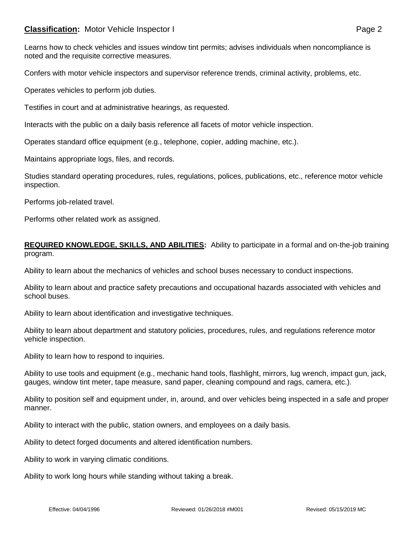# **Classification:** Motor Vehicle Inspector I **Classification:** Page 2

Confers with motor vehicle inspectors and supervisor reference trends, criminal activity, problems, etc.

Operates vehicles to perform job duties.

Testifies in court and at administrative hearings, as requested.

Interacts with the public on a daily basis reference all facets of motor vehicle inspection.

Operates standard office equipment (e.g., telephone, copier, adding machine, etc.).

Maintains appropriate logs, files, and records.

Studies standard operating procedures, rules, regulations, polices, publications, etc., reference motor vehicle inspection.

Performs job-related travel.

Performs other related work as assigned.

#### **REQUIRED KNOWLEDGE, SKILLS, AND ABILITIES:** Ability to participate in a formal and on-the-job training program.

Ability to learn about the mechanics of vehicles and school buses necessary to conduct inspections.

Ability to learn about and practice safety precautions and occupational hazards associated with vehicles and school buses.

Ability to learn about identification and investigative techniques.

Ability to learn about department and statutory policies, procedures, rules, and regulations reference motor vehicle inspection.

Ability to learn how to respond to inquiries.

Ability to use tools and equipment (e.g., mechanic hand tools, flashlight, mirrors, lug wrench, impact gun, jack, gauges, window tint meter, tape measure, sand paper, cleaning compound and rags, camera, etc.).

Ability to position self and equipment under, in, around, and over vehicles being inspected in a safe and proper manner.

Ability to interact with the public, station owners, and employees on a daily basis.

Ability to detect forged documents and altered identification numbers.

Ability to work in varying climatic conditions.

Ability to work long hours while standing without taking a break.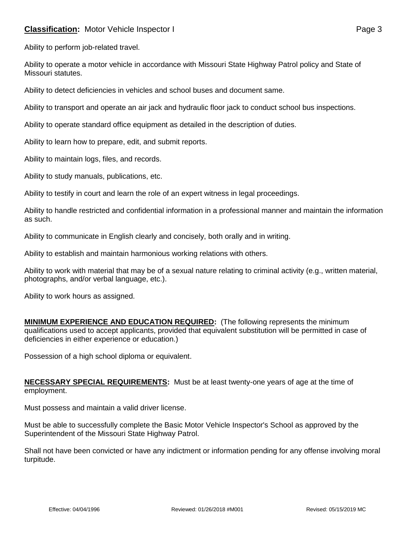# **Classification:** Motor Vehicle Inspector I **Classification:** Page 3

Ability to perform job-related travel.

Ability to operate a motor vehicle in accordance with Missouri State Highway Patrol policy and State of Missouri statutes.

Ability to detect deficiencies in vehicles and school buses and document same.

Ability to transport and operate an air jack and hydraulic floor jack to conduct school bus inspections.

Ability to operate standard office equipment as detailed in the description of duties.

Ability to learn how to prepare, edit, and submit reports.

Ability to maintain logs, files, and records.

Ability to study manuals, publications, etc.

Ability to testify in court and learn the role of an expert witness in legal proceedings.

Ability to handle restricted and confidential information in a professional manner and maintain the information as such.

Ability to communicate in English clearly and concisely, both orally and in writing.

Ability to establish and maintain harmonious working relations with others.

Ability to work with material that may be of a sexual nature relating to criminal activity (e.g., written material, photographs, and/or verbal language, etc.).

Ability to work hours as assigned.

**MINIMUM EXPERIENCE AND EDUCATION REQUIRED:** (The following represents the minimum qualifications used to accept applicants, provided that equivalent substitution will be permitted in case of deficiencies in either experience or education.)

Possession of a high school diploma or equivalent.

**NECESSARY SPECIAL REQUIREMENTS:** Must be at least twenty-one years of age at the time of employment.

Must possess and maintain a valid driver license.

Must be able to successfully complete the Basic Motor Vehicle Inspector's School as approved by the Superintendent of the Missouri State Highway Patrol.

Shall not have been convicted or have any indictment or information pending for any offense involving moral turpitude.